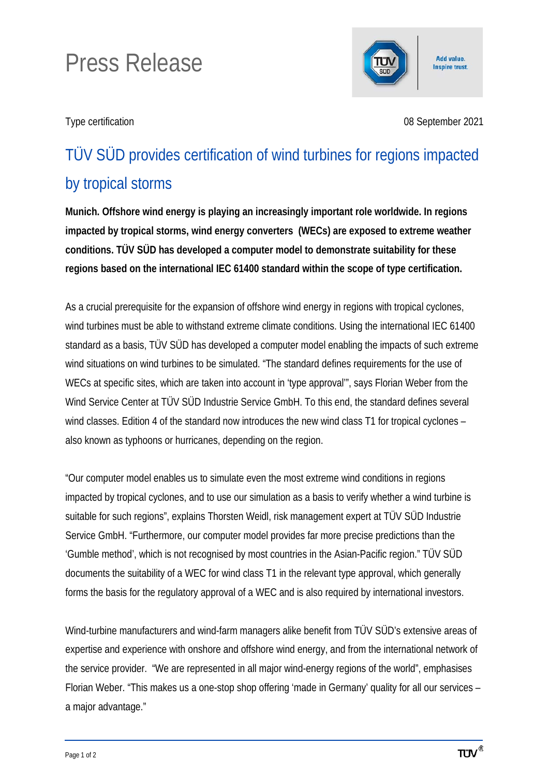## Press Release



Type certification 08 September 2021

## TÜV SÜD provides certification of wind turbines for regions impacted by tropical storms

**Munich. Offshore wind energy is playing an increasingly important role worldwide. In regions impacted by tropical storms, wind energy converters (WECs) are exposed to extreme weather conditions. TÜV SÜD has developed a computer model to demonstrate suitability for these regions based on the international IEC 61400 standard within the scope of type certification.**

As a crucial prerequisite for the expansion of offshore wind energy in regions with tropical cyclones, wind turbines must be able to withstand extreme climate conditions. Using the international IEC 61400 standard as a basis, TÜV SÜD has developed a computer model enabling the impacts of such extreme wind situations on wind turbines to be simulated. "The standard defines requirements for the use of WECs at specific sites, which are taken into account in 'type approval'", says Florian Weber from the Wind Service Center at TÜV SÜD Industrie Service GmbH. To this end, the standard defines several wind classes. Edition 4 of the standard now introduces the new wind class T1 for tropical cyclones – also known as typhoons or hurricanes, depending on the region.

"Our computer model enables us to simulate even the most extreme wind conditions in regions impacted by tropical cyclones, and to use our simulation as a basis to verify whether a wind turbine is suitable for such regions", explains Thorsten Weidl, risk management expert at TÜV SÜD Industrie Service GmbH. "Furthermore, our computer model provides far more precise predictions than the 'Gumble method', which is not recognised by most countries in the Asian-Pacific region." TÜV SÜD documents the suitability of a WEC for wind class T1 in the relevant type approval, which generally forms the basis for the regulatory approval of a WEC and is also required by international investors.

Wind-turbine manufacturers and wind-farm managers alike benefit from TÜV SÜD's extensive areas of expertise and experience with onshore and offshore wind energy, and from the international network of the service provider. "We are represented in all major wind-energy regions of the world", emphasises Florian Weber. "This makes us a one-stop shop offering 'made in Germany' quality for all our services – a major advantage."